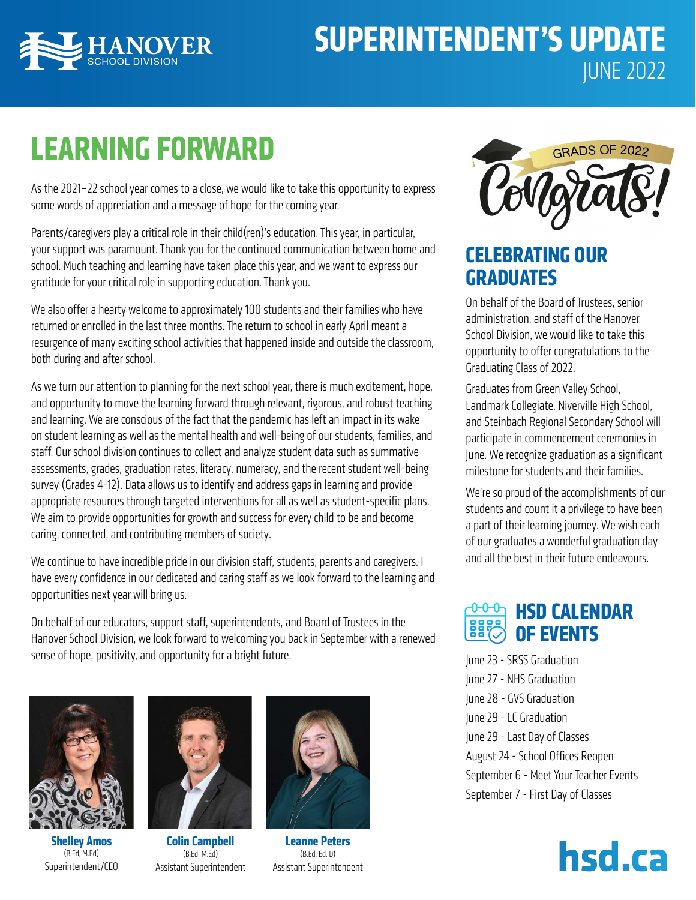

## **SUPERINTENDENT'S UPDATE** JUNE 2022

## **LEARNING FORWARD**

As the 2021–22 school year comes to a close, we would like to take this opportunity to express some words of appreciation and a message of hope for the coming year.

Parents/caregivers play a critical role in their child(ren)'s education. This year, in particular, your support was paramount. Thank you for the continued communication between home and school. Much teaching and learning have taken place this year, and we want to express our gratitude for your critical role in supporting education. Thank you.

We also offer a hearty welcome to approximately 100 students and their families who have returned or enrolled in the last three months. The return to school in early April meant a resurgence of many exciting school activities that happened inside and outside the classroom, both during and after school.

As we turn our attention to planning for the next school year, there is much excitement, hope, and opportunity to move the learning forward through relevant, rigorous, and robust teaching and learning. We are conscious of the fact that the pandemic has left an impact in its wake on student learning as well as the mental health and well-being of our students, families, and staff. Our school division continues to collect and analyze student data such as summative assessments, grades, graduation rates, literacy, numeracy, and the recent student well-being survey (Grades 4-12). Data allows us to identify and address gaps in learning and provide appropriate resources through targeted interventions for all as well as student-specific plans. We aim to provide opportunities for growth and success for every child to be and become caring, connected, and contributing members of society.

We continue to have incredible pride in our division staff, students, parents and caregivers. I have every confidence in our dedicated and caring staff as we look forward to the learning and opportunities next year will bring us.

On behalf of our educators, support staff, superintendents, and Board of Trustees in the Hanover School Division, we look forward to welcoming you back in September with a renewed sense of hope, positivity, and opportunity for a bright future.



**Shelley Amos** (B.Ed, M.Ed) Superintendent/CEO



**Colin Campbell** (B.Ed, M.Ed) Assistant Superintendent



**Leanne Peters**  (B.Ed, Ed. D)



## **CELEBRATING OUR GRADUATES**

On behalf of the Board of Trustees, senior administration, and staff of the Hanover School Division, we would like to take this opportunity to offer congratulations to the Graduating Class of 2022.

Graduates from Green Valley School, Landmark Collegiate, Niverville High School, and Steinbach Regional Secondary School will participate in commencement ceremonies in June. We recognize graduation as a significant milestone for students and their families.

We're so proud of the accomplishments of our students and count it a privilege to have been a part of their learning journey. We wish each of our graduates a wonderful graduation day and all the best in their future endeavours.

### **HSD CALENDAR OF EVENTS**

June 23 - SRSS Graduation June 27 - NHS Graduation June 28 - GVS Graduation June 29 - LC Graduation June 29 - Last Day of Classes August 24 - School Offices Reopen September 6 - Meet Your Teacher Events September 7 - First Day of Classes